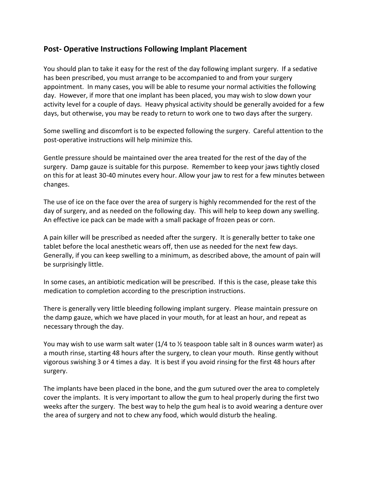## **Post- Operative Instructions Following Implant Placement**

You should plan to take it easy for the rest of the day following implant surgery. If a sedative has been prescribed, you must arrange to be accompanied to and from your surgery appointment. In many cases, you will be able to resume your normal activities the following day. However, if more that one implant has been placed, you may wish to slow down your activity level for a couple of days. Heavy physical activity should be generally avoided for a few days, but otherwise, you may be ready to return to work one to two days after the surgery.

Some swelling and discomfort is to be expected following the surgery. Careful attention to the post-operative instructions will help minimize this.

Gentle pressure should be maintained over the area treated for the rest of the day of the surgery. Damp gauze is suitable for this purpose. Remember to keep your jaws tightly closed on this for at least 30-40 minutes every hour. Allow your jaw to rest for a few minutes between changes.

The use of ice on the face over the area of surgery is highly recommended for the rest of the day of surgery, and as needed on the following day. This will help to keep down any swelling. An effective ice pack can be made with a small package of frozen peas or corn.

A pain killer will be prescribed as needed after the surgery. It is generally better to take one tablet before the local anesthetic wears off, then use as needed for the next few days. Generally, if you can keep swelling to a minimum, as described above, the amount of pain will be surprisingly little.

In some cases, an antibiotic medication will be prescribed. If this is the case, please take this medication to completion according to the prescription instructions.

There is generally very little bleeding following implant surgery. Please maintain pressure on the damp gauze, which we have placed in your mouth, for at least an hour, and repeat as necessary through the day.

You may wish to use warm salt water (1/4 to  $\frac{1}{2}$  teaspoon table salt in 8 ounces warm water) as a mouth rinse, starting 48 hours after the surgery, to clean your mouth. Rinse gently without vigorous swishing 3 or 4 times a day. It is best if you avoid rinsing for the first 48 hours after surgery.

The implants have been placed in the bone, and the gum sutured over the area to completely cover the implants. It is very important to allow the gum to heal properly during the first two weeks after the surgery. The best way to help the gum heal is to avoid wearing a denture over the area of surgery and not to chew any food, which would disturb the healing.